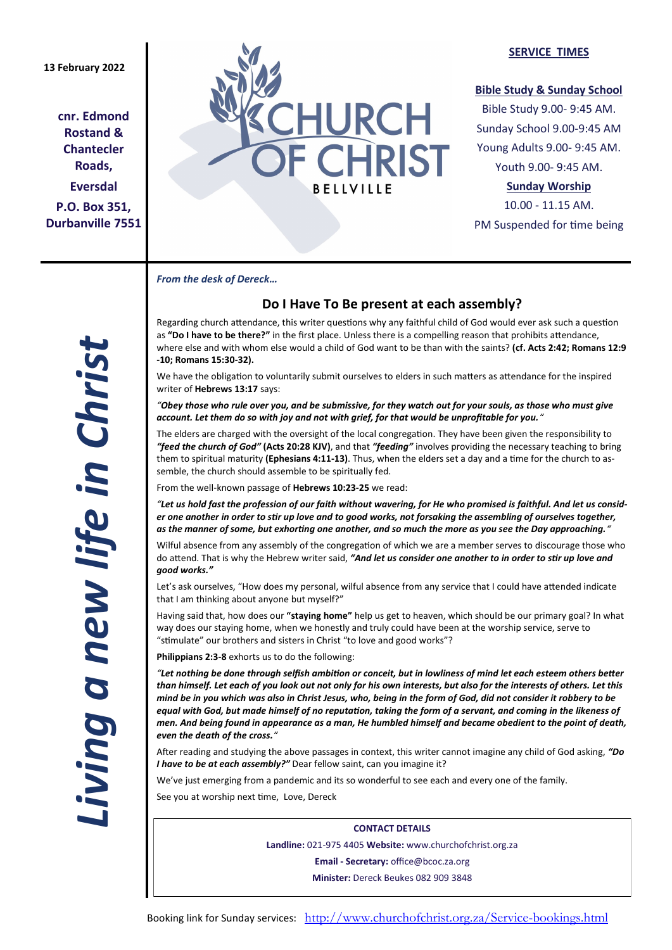## **13 February 2022**

**cnr. Edmond Rostand & Chantecler Roads, Eversdal P.O. Box 351, Durbanville 7551**



## **SERVICE TIMES**

## **Bible Study & Sunday School**

Bible Study 9.00- 9:45 AM. Sunday School 9.00-9:45 AM Young Adults 9.00- 9:45 AM. Youth 9.00- 9:45 AM.

# **Sunday Worship**

10.00 - 11.15 AM. PM Suspended for time being

*From the desk of Dereck…* 

# **Do I Have To Be present at each assembly?**

Regarding church attendance, this writer questions why any faithful child of God would ever ask such a question as **"Do I have to be there?"** in the first place. Unless there is a compelling reason that prohibits attendance, where else and with whom else would a child of God want to be than with the saints? **(cf. Acts 2:42; Romans 12:9 -10; Romans 15:30-32).**

We have the obligation to voluntarily submit ourselves to elders in such matters as attendance for the inspired writer of **Hebrews 13:17** says:

*"Obey those who rule over you, and be submissive, for they watch out for your souls, as those who must give account. Let them do so with joy and not with grief, for that would be unprofitable for you."*

The elders are charged with the oversight of the local congregation. They have been given the responsibility to *"feed the church of God"* **(Acts 20:28 KJV)**, and that *"feeding"* involves providing the necessary teaching to bring them to spiritual maturity **(Ephesians 4:11-13)**. Thus, when the elders set a day and a time for the church to assemble, the church should assemble to be spiritually fed.

From the well-known passage of **Hebrews 10:23-25** we read:

*"Let us hold fast the profession of our faith without wavering, for He who promised is faithful. And let us consider one another in order to stir up love and to good works, not forsaking the assembling of ourselves together, as the manner of some, but exhorting one another, and so much the more as you see the Day approaching."*

Wilful absence from any assembly of the congregation of which we are a member serves to discourage those who do attend. That is why the Hebrew writer said, *"And let us consider one another to in order to stir up love and good works."*

Let's ask ourselves, "How does my personal, wilful absence from any service that I could have attended indicate that I am thinking about anyone but myself?"

Having said that, how does our **"staying home"** help us get to heaven, which should be our primary goal? In what way does our staying home, when we honestly and truly could have been at the worship service, serve to "stimulate" our brothers and sisters in Christ "to love and good works"?

**Philippians 2:3-8** exhorts us to do the following:

*"Let nothing be done through selfish ambition or conceit, but in lowliness of mind let each esteem others better than himself. Let each of you look out not only for his own interests, but also for the interests of others. Let this mind be in you which was also in Christ Jesus, who, being in the form of God, did not consider it robbery to be equal with God, but made himself of no reputation, taking the form of a servant, and coming in the likeness of men. And being found in appearance as a man, He humbled himself and became obedient to the point of death, even the death of the cross."*

After reading and studying the above passages in context, this writer cannot imagine any child of God asking, *"Do I have to be at each assembly?"* Dear fellow saint, can you imagine it?

We've just emerging from a pandemic and its so wonderful to see each and every one of the family. See you at worship next time, Love, Dereck

> **CONTACT DETAILS Landline:** 021-975 4405 **Website:** www.churchofchrist.org.za **Email - Secretary:** office@bcoc.za.org **Minister:** Dereck Beukes 082 909 3848

*Living a new life in Christ*  iving a new life in Christ.